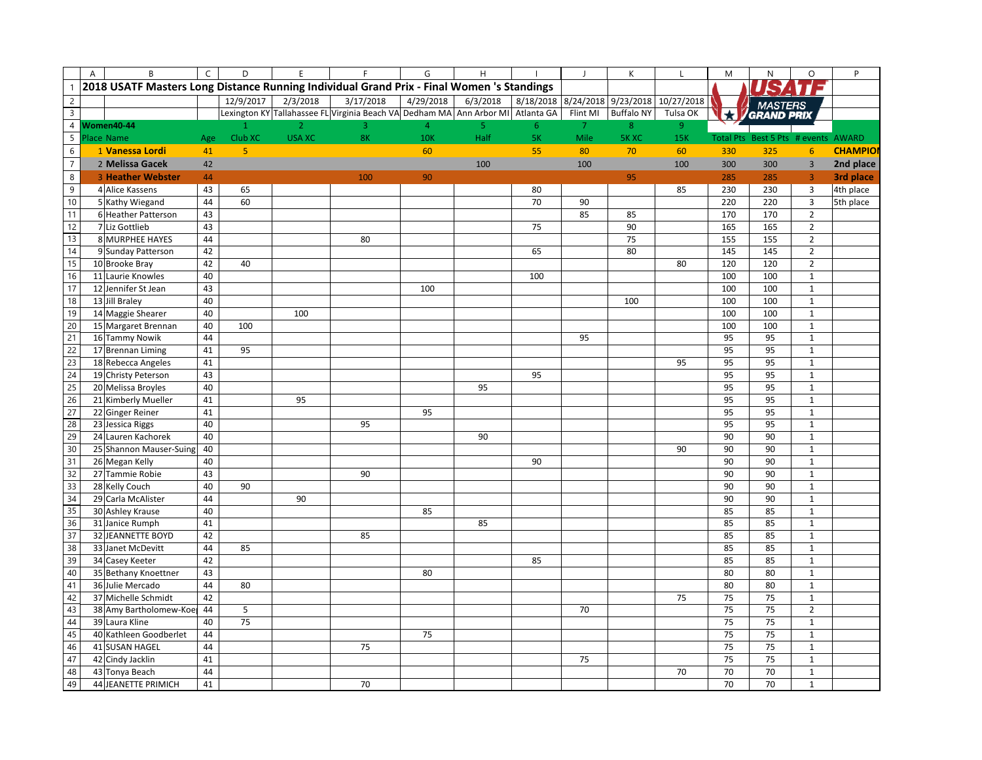|                  | A | B                                                                                         | $\mathsf{C}$ | D                  | E              | F                                                                               | G              | $\mathsf{H}% _{\mathsf{H}}^{\ast}=\mathsf{H}_{\mathsf{H}}^{\ast}$ |           | $\overline{J}$ | К                 | $\mathsf L$                    | M                | N                         | $\circ$                     | P              |
|------------------|---|-------------------------------------------------------------------------------------------|--------------|--------------------|----------------|---------------------------------------------------------------------------------|----------------|-------------------------------------------------------------------|-----------|----------------|-------------------|--------------------------------|------------------|---------------------------|-----------------------------|----------------|
|                  |   | 2018 USATF Masters Long Distance Running Individual Grand Prix - Final Women 's Standings |              |                    |                |                                                                                 |                |                                                                   |           |                |                   |                                |                  |                           |                             |                |
| $\overline{c}$   |   |                                                                                           |              | 12/9/2017          | 2/3/2018       | 3/17/2018                                                                       | 4/29/2018      | 6/3/2018                                                          | 8/18/2018 |                |                   | 8/24/2018 9/23/2018 10/27/2018 |                  | <b>MASTERS</b>            |                             |                |
| $\mathbf{3}$     |   |                                                                                           |              |                    |                | Lexington KY Tallahassee FL Virginia Beach VA Dedham MA Ann Arbor MI Atlanta GA |                |                                                                   |           | Flint MI       | <b>Buffalo NY</b> | Tulsa OK                       |                  | GRAND PRIX                |                             |                |
| $\overline{4}$   |   | <b>Women40-44</b>                                                                         |              | $\mathbf{1}$       | 2 <sup>1</sup> | 3                                                                               | $\overline{4}$ | 5                                                                 | 6         | $\overline{7}$ | 8                 | 9 <sup>°</sup>                 |                  |                           |                             |                |
| 5                |   | Place Name                                                                                | Age          | Club <sub>XC</sub> | <b>USA XC</b>  | 8K                                                                              | <b>10K</b>     | Half                                                              | <b>5K</b> | Mile           | <b>5K XC</b>      | 15K                            | <b>Total Pts</b> | Best 5 Pts # events AWARD |                             |                |
| $\boldsymbol{6}$ |   | 1 Vanessa Lordi                                                                           | 41           | $\overline{5}$     |                |                                                                                 | 60             |                                                                   | 55        | 80             | 70                | 60                             | 330              | 325                       | 6                           | <b>CHAMPIO</b> |
| $\overline{7}$   |   | 2 Melissa Gacek                                                                           | 42           |                    |                |                                                                                 |                | 100                                                               |           | 100            |                   | 100                            | 300              | 300                       | $\overline{3}$              | 2nd place      |
| $\bf 8$          |   | <b>3 Heather Webster</b>                                                                  | 44           |                    |                | 100                                                                             | 90             |                                                                   |           |                | 95                |                                | 285              | 285                       | $\overline{3}$              | 3rd place      |
| $\overline{9}$   |   | 4 Alice Kassens                                                                           | 43           | 65                 |                |                                                                                 |                |                                                                   | 80        |                |                   | 85                             | 230              | 230                       | $\overline{3}$              | 4th place      |
| 10               |   | 5 Kathy Wiegand                                                                           | 44           | 60                 |                |                                                                                 |                |                                                                   | 70        | 90             |                   |                                | 220              | 220                       | $\overline{3}$              | 5th place      |
| 11               |   | 6 Heather Patterson                                                                       | 43           |                    |                |                                                                                 |                |                                                                   |           | 85             | 85                |                                | 170              | 170                       | $\overline{2}$              |                |
| 12               |   | 7 Liz Gottlieb                                                                            | 43           |                    |                |                                                                                 |                |                                                                   | 75        |                | 90                |                                | 165              | 165                       | $\overline{2}$              |                |
| 13               |   | 8 MURPHEE HAYES                                                                           | 44           |                    |                | 80                                                                              |                |                                                                   |           |                | 75                |                                | 155              | 155                       | $\overline{2}$              |                |
| 14               |   | 9 Sunday Patterson                                                                        | 42           |                    |                |                                                                                 |                |                                                                   | 65        |                | 80                |                                | 145              | 145                       | $\mathbf 2$                 |                |
| 15               |   | 10 Brooke Bray                                                                            | 42           | 40                 |                |                                                                                 |                |                                                                   |           |                |                   | 80                             | 120              | 120                       | $\overline{2}$              |                |
| 16               |   | 11 Laurie Knowles                                                                         | 40           |                    |                |                                                                                 |                |                                                                   | 100       |                |                   |                                | 100              | 100                       | $\mathbf 1$                 |                |
| 17               |   | 12 Jennifer St Jean                                                                       | 43           |                    |                |                                                                                 | 100            |                                                                   |           |                |                   |                                | 100              | 100                       | $\mathbf{1}$                |                |
| 18               |   | 13 Jill Braley                                                                            | 40           |                    |                |                                                                                 |                |                                                                   |           |                | 100               |                                | 100              | 100                       | $\mathbf{1}$                |                |
| 19               |   | 14 Maggie Shearer                                                                         | 40           |                    | 100            |                                                                                 |                |                                                                   |           |                |                   |                                | 100              | 100                       | $\mathbf 1$                 |                |
| 20               |   | 15 Margaret Brennan                                                                       | 40           | 100                |                |                                                                                 |                |                                                                   |           |                |                   |                                | 100              | 100                       | $\mathbf{1}$                |                |
| 21               |   | 16 Tammy Nowik                                                                            | 44           |                    |                |                                                                                 |                |                                                                   |           | 95             |                   |                                | 95               | 95                        | $\mathbf 1$                 |                |
| 22               |   | 17 Brennan Liming                                                                         | 41           | 95                 |                |                                                                                 |                |                                                                   |           |                |                   |                                | 95               | 95                        | $\mathbf 1$                 |                |
| 23               |   | 18 Rebecca Angeles                                                                        | 41           |                    |                |                                                                                 |                |                                                                   |           |                |                   | 95                             | 95               | 95                        | $\mathbf 1$                 |                |
| 24               |   | 19 Christy Peterson                                                                       | 43           |                    |                |                                                                                 |                |                                                                   | 95        |                |                   |                                | 95               | 95                        | $\mathbf 1$                 |                |
| 25               |   | 20 Melissa Broyles                                                                        | 40           |                    |                |                                                                                 |                | 95                                                                |           |                |                   |                                | 95               | 95                        | $\mathbf 1$                 |                |
| 26               |   | 21 Kimberly Mueller                                                                       | 41           |                    | 95             |                                                                                 |                |                                                                   |           |                |                   |                                | 95               | 95                        | $\mathbf 1$                 |                |
| 27               |   | 22 Ginger Reiner                                                                          | 41           |                    |                |                                                                                 | 95             |                                                                   |           |                |                   |                                | 95               | 95                        | $\mathbf 1$                 |                |
| 28               |   | 23 Jessica Riggs                                                                          | 40           |                    |                | 95                                                                              |                |                                                                   |           |                |                   |                                | 95               | 95                        | $\mathbf{1}$                |                |
| 29               |   | 24 Lauren Kachorek                                                                        | 40           |                    |                |                                                                                 |                | 90                                                                |           |                |                   |                                | 90               | 90                        | $\mathbf 1$                 |                |
| 30               |   | 25 Shannon Mauser-Suing                                                                   | 40           |                    |                |                                                                                 |                |                                                                   |           |                |                   | 90                             | 90               | 90                        | $\mathbf{1}$                |                |
| 31               |   | 26 Megan Kelly                                                                            | 40           |                    |                |                                                                                 |                |                                                                   | 90        |                |                   |                                | 90               | 90                        | $\mathbf 1$                 |                |
| 32               |   | 27 Tammie Robie                                                                           | 43           |                    |                | 90                                                                              |                |                                                                   |           |                |                   |                                | 90               | 90                        | $\mathbf 1$                 |                |
| 33               |   | 28 Kelly Couch                                                                            | 40           | 90                 |                |                                                                                 |                |                                                                   |           |                |                   |                                | 90               | 90                        | $\mathbf 1$                 |                |
| 34               |   | 29 Carla McAlister                                                                        | 44           |                    | 90             |                                                                                 |                |                                                                   |           |                |                   |                                | 90               | 90                        | $\mathbf 1$                 |                |
| 35               |   | 30 Ashley Krause                                                                          | 40           |                    |                |                                                                                 | 85             |                                                                   |           |                |                   |                                | 85               | 85                        | $\mathbf 1$                 |                |
| 36               |   | 31 Janice Rumph                                                                           | 41           |                    |                |                                                                                 |                | 85                                                                |           |                |                   |                                | 85               | 85                        | $\mathbf 1$                 |                |
| 37               |   | 32 JEANNETTE BOYD                                                                         | 42           |                    |                | 85                                                                              |                |                                                                   |           |                |                   |                                | 85               | 85                        | $\mathbf 1$                 |                |
| 38<br>39         |   | 33 Janet McDevitt                                                                         | 44           | 85                 |                |                                                                                 |                |                                                                   |           |                |                   |                                | 85               | 85                        | $\mathbf 1$                 |                |
|                  |   | 34 Casey Keeter                                                                           | 42           |                    |                |                                                                                 |                |                                                                   | 85        |                |                   |                                | 85               | 85                        | $\mathbf 1$                 |                |
| 40<br>41         |   | 35 Bethany Knoettner<br>36 Julie Mercado                                                  | 43<br>44     | 80                 |                |                                                                                 | 80             |                                                                   |           |                |                   |                                | 80<br>80         | 80<br>80                  | $\mathbf 1$<br>$\mathbf{1}$ |                |
| 42               |   | 37 Michelle Schmidt                                                                       | 42           |                    |                |                                                                                 |                |                                                                   |           |                |                   | 75                             | 75               | 75                        | $\mathbf 1$                 |                |
| 43               |   | 38 Amy Bartholomew-Koe                                                                    | 44           | 5                  |                |                                                                                 |                |                                                                   |           | 70             |                   |                                | 75               | 75                        | $\overline{2}$              |                |
| 44               |   | 39 Laura Kline                                                                            | 40           | 75                 |                |                                                                                 |                |                                                                   |           |                |                   |                                | 75               | 75                        | $\mathbf 1$                 |                |
| 45               |   | 40 Kathleen Goodberlet                                                                    | 44           |                    |                |                                                                                 | 75             |                                                                   |           |                |                   |                                | 75               | 75                        | $\mathbf 1$                 |                |
| 46               |   | 41 SUSAN HAGEL                                                                            | 44           |                    |                | 75                                                                              |                |                                                                   |           |                |                   |                                | 75               | 75                        | $\mathbf 1$                 |                |
| 47               |   | 42 Cindy Jacklin                                                                          | 41           |                    |                |                                                                                 |                |                                                                   |           | 75             |                   |                                | 75               | 75                        | $\mathbf 1$                 |                |
| 48               |   | 43 Tonya Beach                                                                            | 44           |                    |                |                                                                                 |                |                                                                   |           |                |                   | 70                             | 70               | 70                        | $\mathbf 1$                 |                |
| 49               |   | 44 JEANETTE PRIMICH                                                                       | 41           |                    |                | 70                                                                              |                |                                                                   |           |                |                   |                                | 70               | 70                        | $\mathbf{1}$                |                |
|                  |   |                                                                                           |              |                    |                |                                                                                 |                |                                                                   |           |                |                   |                                |                  |                           |                             |                |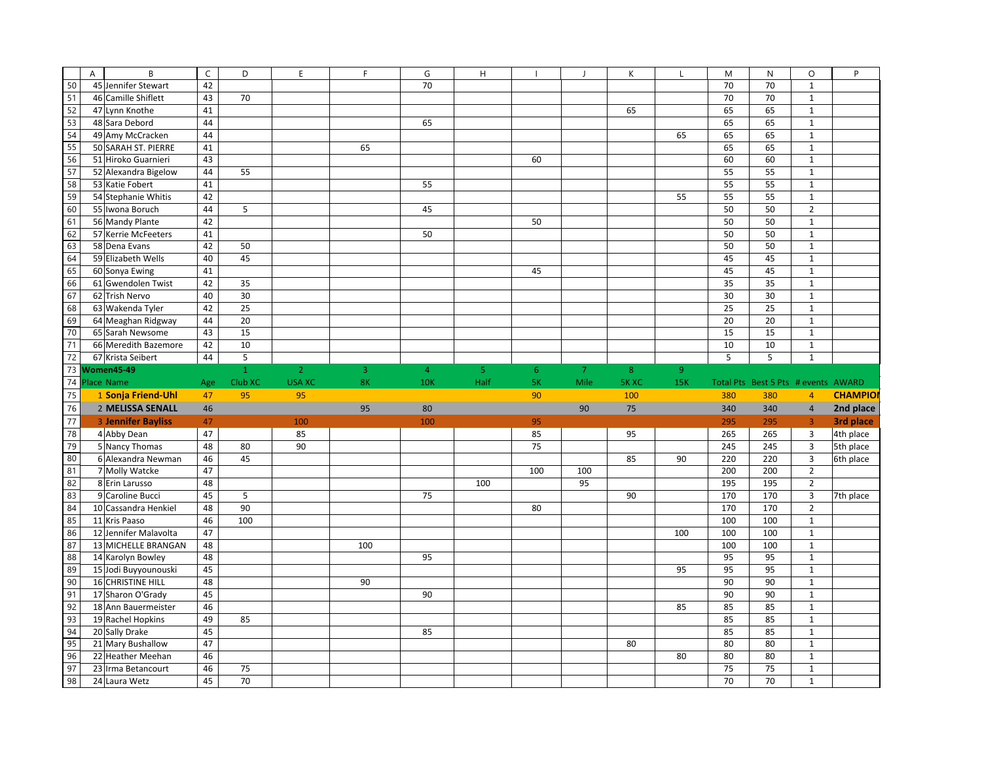|          | B<br>$\overline{A}$                    | $\mathsf C$ | D            | E              | F   | G              | H              |                |                | К           | L              | M   | $\mathsf{N}$                        | $\circ$        | P              |
|----------|----------------------------------------|-------------|--------------|----------------|-----|----------------|----------------|----------------|----------------|-------------|----------------|-----|-------------------------------------|----------------|----------------|
| 50       | 45 Jennifer Stewart                    | 42          |              |                |     | 70             |                |                |                |             |                | 70  | 70                                  | $\mathbf 1$    |                |
| 51       | 46 Camille Shiflett                    | 43          | 70           |                |     |                |                |                |                |             |                | 70  | 70                                  | $\mathbf 1$    |                |
| 52       | 47 Lynn Knothe                         | 41          |              |                |     |                |                |                |                | 65          |                | 65  | 65                                  | $\mathbf 1$    |                |
| 53       | 48 Sara Debord                         | 44          |              |                |     | 65             |                |                |                |             |                | 65  | 65                                  | $\mathbf 1$    |                |
| 54       | 49 Amy McCracken                       | 44          |              |                |     |                |                |                |                |             | 65             | 65  | 65                                  | $\mathbf 1$    |                |
| 55       | 50 SARAH ST. PIERRE                    | 41          |              |                | 65  |                |                |                |                |             |                | 65  | 65                                  | $\mathbf 1$    |                |
| 56       | 51 Hiroko Guarnieri                    | 43          |              |                |     |                |                | 60             |                |             |                | 60  | 60                                  | $\mathbf 1$    |                |
| 57       | 52 Alexandra Bigelow                   | 44          | 55           |                |     |                |                |                |                |             |                | 55  | 55                                  | $\mathbf 1$    |                |
| 58       | 53 Katie Fobert                        | 41          |              |                |     | 55             |                |                |                |             |                | 55  | 55                                  | $\mathbf 1$    |                |
| 59       | 54 Stephanie Whitis                    | 42          |              |                |     |                |                |                |                |             | 55             | 55  | 55                                  | $\mathbf{1}$   |                |
| 60       | 55 Iwona Boruch                        | 44          | 5            |                |     | 45             |                |                |                |             |                | 50  | 50                                  | $\overline{2}$ |                |
| 61       | 56 Mandy Plante                        | 42          |              |                |     |                |                | 50             |                |             |                | 50  | 50                                  | $\mathbf 1$    |                |
| 62       | 57 Kerrie McFeeters                    | 41          |              |                |     | 50             |                |                |                |             |                | 50  | 50                                  | $\mathbf 1$    |                |
| 63       | 58 Dena Evans                          | 42          | 50           |                |     |                |                |                |                |             |                | 50  | 50                                  | $\mathbf 1$    |                |
| 64       | 59 Elizabeth Wells                     | 40          | 45           |                |     |                |                |                |                |             |                | 45  | 45                                  | $\mathbf{1}$   |                |
| 65       | 60 Sonya Ewing                         | 41          |              |                |     |                |                | 45             |                |             |                | 45  | 45                                  | $\mathbf{1}$   |                |
| 66       | 61 Gwendolen Twist                     | 42          | 35           |                |     |                |                |                |                |             |                | 35  | 35                                  | $\mathbf 1$    |                |
| 67       | 62 Trish Nervo                         | 40          | 30           |                |     |                |                |                |                |             |                | 30  | 30                                  | $\mathbf{1}$   |                |
| 68       |                                        | 42          | 25           |                |     |                |                |                |                |             |                | 25  | 25                                  | $\mathbf 1$    |                |
| 69       | 63 Wakenda Tyler                       | 44          | 20           |                |     |                |                |                |                |             |                | 20  | 20                                  | $\mathbf 1$    |                |
| 70       | 64 Meaghan Ridgway<br>65 Sarah Newsome | 43          | 15           |                |     |                |                |                |                |             |                | 15  | 15                                  | $\mathbf 1$    |                |
|          |                                        | 42          | 10           |                |     |                |                |                |                |             |                | 10  | 10                                  | $\mathbf 1$    |                |
| 71<br>72 | 66 Meredith Bazemore                   | 44          |              |                |     |                |                |                |                |             |                |     |                                     | $\mathbf{1}$   |                |
| 73       | 67 Krista Seibert                      |             | $\mathsf S$  |                |     |                |                |                |                |             |                | 5   | 5                                   |                |                |
|          | Women45-49<br>74 Place Name            |             | $\mathbf{1}$ | $\overline{2}$ | 3   | $\overline{4}$ | 5 <sub>1</sub> | 6 <sup>°</sup> | $\overline{7}$ | 8           | 9 <sup>°</sup> |     |                                     |                |                |
|          |                                        | Age         | Club XC      | <b>USA XC</b>  | 8K  | <b>10K</b>     | Half           | <b>5K</b>      | Mile           | <b>5KXC</b> | 15K            |     | Total Pts Best 5 Pts # events AWARD |                |                |
| 75       | 1 Sonja Friend-Uhl                     | 47          | 95           | 95             |     |                |                | 90             |                | 100         |                | 380 | 380                                 | $\overline{4}$ | <b>CHAMPIO</b> |
| 76       | 2 MELISSA SENALL                       | 46          |              |                | 95  | 80             |                |                | 90             | 75          |                | 340 | 340                                 | $\sqrt{4}$     | 2nd place      |
| 77       | <b>3 Jennifer Bayliss</b>              | 47          |              | 100            |     | 100            |                | 95             |                |             |                | 295 | 295                                 | $\overline{3}$ | 3rd place      |
| 78       | 4 Abby Dean                            | 47          |              | 85             |     |                |                | 85             |                | 95          |                | 265 | 265                                 | $\overline{3}$ | 4th place      |
| 79       | 5 Nancy Thomas                         | 48          | 80           | 90             |     |                |                | 75             |                |             |                | 245 | 245                                 | $\mathsf 3$    | 5th place      |
| 80       | 6 Alexandra Newman                     | 46          | 45           |                |     |                |                |                |                |             |                |     |                                     |                | 6th place      |
| 81       | 7 Molly Watcke                         | 47          |              |                |     |                |                |                |                | 85          | 90             | 220 | 220                                 | $\mathsf 3$    |                |
| 82       | 8 Erin Larusso                         | 48          |              |                |     |                |                | 100            | 100            |             |                | 200 | 200                                 | $\overline{2}$ |                |
| 83       |                                        |             |              |                |     |                | 100            |                | 95             |             |                | 195 | 195                                 | $\overline{2}$ |                |
| 84       | 9 Caroline Bucci                       | 45          | 5            |                |     | 75             |                |                |                | 90          |                | 170 | 170                                 | $\overline{3}$ | 7th place      |
| 85       | 10 Cassandra Henkiel                   | 48          | 90           |                |     |                |                | 80             |                |             |                | 170 | 170                                 | $\overline{2}$ |                |
| 86       | 11 Kris Paaso                          | 46          | 100          |                |     |                |                |                |                |             |                | 100 | 100                                 | $\mathbf{1}$   |                |
|          | 12 Jennifer Malavolta                  | 47          |              |                |     |                |                |                |                |             | 100            | 100 | 100                                 | $\mathbf 1$    |                |
| 87       | 13 MICHELLE BRANGAN                    | 48          |              |                | 100 |                |                |                |                |             |                | 100 | 100                                 | $\mathbf 1$    |                |
| 88       | 14 Karolyn Bowley                      | 48          |              |                |     | 95             |                |                |                |             |                | 95  | 95                                  | $\mathbf 1$    |                |
| 89       | 15 Jodi Buyyounouski                   | 45          |              |                |     |                |                |                |                |             | 95             | 95  | 95                                  | $\mathbf 1$    |                |
| 90       | 16 CHRISTINE HILL                      | 48          |              |                | 90  |                |                |                |                |             |                | 90  | 90                                  | $\mathbf 1$    |                |
| 91       | 17 Sharon O'Grady                      | 45          |              |                |     | 90             |                |                |                |             |                | 90  | 90                                  | $\mathbf 1$    |                |
| 92       | 18 Ann Bauermeister                    | 46          |              |                |     |                |                |                |                |             | 85             | 85  | 85                                  | $\mathbf 1$    |                |
| 93       | 19 Rachel Hopkins                      | 49          | 85           |                |     |                |                |                |                |             |                | 85  | 85                                  | $1\,$          |                |
| 94       | 20 Sally Drake                         | 45          |              |                |     | 85             |                |                |                |             |                | 85  | 85                                  | $\mathbf 1$    |                |
| 95       | 21 Mary Bushallow                      | 47          |              |                |     |                |                |                |                | 80          |                | 80  | 80                                  | $\mathbf 1$    |                |
| 96       | 22 Heather Meehan                      | 46          |              |                |     |                |                |                |                |             | 80             | 80  | 80                                  | $\mathbf 1$    |                |
| 97       | 23 Irma Betancourt                     | 46          | 75           |                |     |                |                |                |                |             |                | 75  | 75                                  | $\mathbf 1$    |                |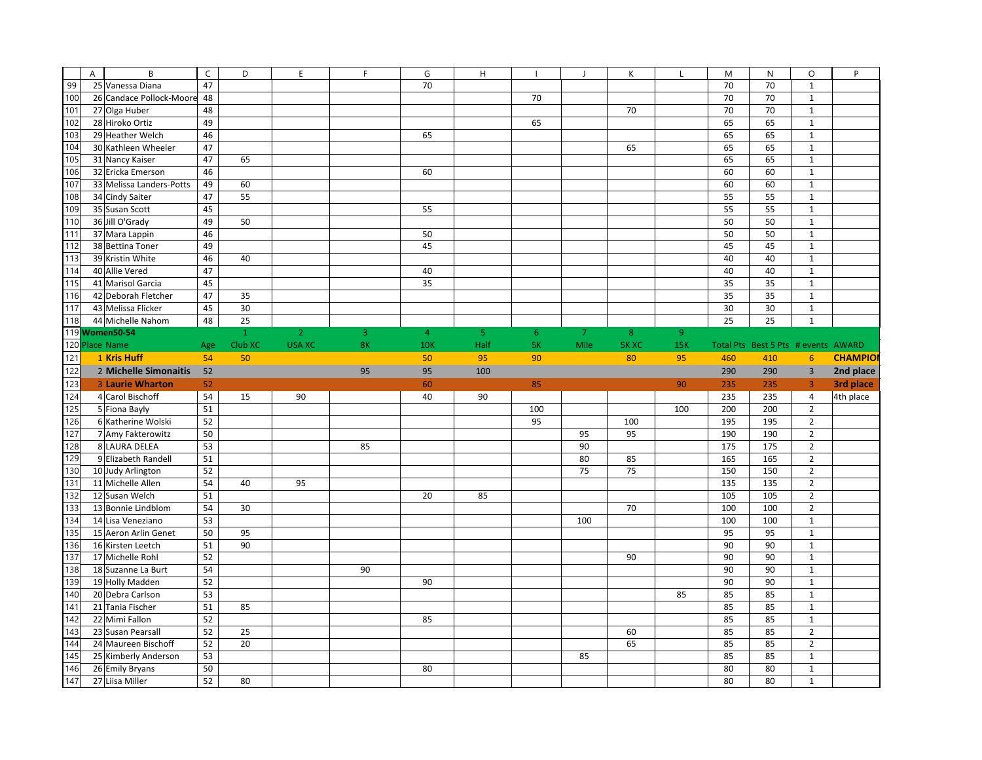|                 | B<br>A                                 | $\mathsf{C}$ | D            | E              | $\mathsf{F}$   | G              | H              |     |      | K           | L              | M          | N                                   | $\circ$                          | P              |
|-----------------|----------------------------------------|--------------|--------------|----------------|----------------|----------------|----------------|-----|------|-------------|----------------|------------|-------------------------------------|----------------------------------|----------------|
| 99              | 25 Vanessa Diana                       | 47           |              |                |                | 70             |                |     |      |             |                | 70         | 70                                  | $1\,$                            |                |
| 100             | 26 Candace Pollock-Moore               | 48           |              |                |                |                |                | 70  |      |             |                | 70         | 70                                  | $\mathbf{1}$                     |                |
| 101             | 27 Olga Huber                          | 48           |              |                |                |                |                |     |      | 70          |                | 70         | 70                                  | $\mathbf 1$                      |                |
| 102             | 28 Hiroko Ortiz                        | 49           |              |                |                |                |                | 65  |      |             |                | 65         | 65                                  | $\mathbf 1$                      |                |
| 103             | 29 Heather Welch                       | 46           |              |                |                | 65             |                |     |      |             |                | 65         | 65                                  | $\mathbf{1}$                     |                |
| 104             | 30 Kathleen Wheeler                    | 47           |              |                |                |                |                |     |      | 65          |                | 65         | 65                                  | $\mathbf{1}$                     |                |
| 105             | 31 Nancy Kaiser                        | 47           | 65           |                |                |                |                |     |      |             |                | 65         | 65                                  | $\mathbf 1$                      |                |
| 106             | 32 Ericka Emerson                      | 46           |              |                |                | 60             |                |     |      |             |                | 60         | 60                                  | $\mathbf 1$                      |                |
| 107             | 33 Melissa Landers-Potts               | 49           | 60           |                |                |                |                |     |      |             |                | 60         | 60                                  | $\mathbf 1$                      |                |
| 108             | 34 Cindy Saiter                        | 47           | 55           |                |                |                |                |     |      |             |                | 55         | 55                                  | $\mathbf{1}$                     |                |
| 109             | 35 Susan Scott                         | 45           |              |                |                | 55             |                |     |      |             |                | 55         | 55                                  | $\mathbf{1}$                     |                |
| 110             | 36 Jill O'Grady                        | 49           | 50           |                |                |                |                |     |      |             |                | 50         | 50                                  | $\mathbf 1$                      |                |
| 111             | 37 Mara Lappin                         | 46           |              |                |                | 50             |                |     |      |             |                | 50         | 50                                  | $1\,$                            |                |
| 112             | 38 Bettina Toner                       | 49           |              |                |                | 45             |                |     |      |             |                | 45         | 45                                  | $\mathbf 1$                      |                |
| 113             | 39 Kristin White                       | 46           | 40           |                |                |                |                |     |      |             |                | 40         | 40                                  | $1\,$                            |                |
| 114             | 40 Allie Vered                         | 47           |              |                |                | 40             |                |     |      |             |                | 40         | 40                                  | $\mathbf 1$                      |                |
| 115             | 41 Marisol Garcia                      | 45           |              |                |                | 35             |                |     |      |             |                | 35         | 35                                  | $\mathbf{1}$                     |                |
| 116             | 42 Deborah Fletcher                    | 47           | 35           |                |                |                |                |     |      |             |                | 35         | 35                                  | $\mathbf{1}$                     |                |
| 117             | 43 Melissa Flicker                     | 45           | 30           |                |                |                |                |     |      |             |                | 30         | 30                                  | $\mathbf 1$                      |                |
| 118             | 44 Michelle Nahom                      | 48           | 25           |                |                |                |                |     |      |             |                | 25         | 25                                  | $\mathbf{1}$                     |                |
|                 | 119 Women50-54                         |              | $\mathbf{1}$ | $\overline{2}$ | $\overline{3}$ | $\overline{4}$ | 5 <sub>1</sub> | 6   | 7    | 8           | 9 <sup>°</sup> |            |                                     |                                  |                |
|                 | 120 Place Name                         | Age          | Club XC      | <b>USA XC</b>  | 8K             | <b>10K</b>     | Half           | 5K  | Mile | <b>5KXC</b> | <b>15K</b>     |            | Total Pts Best 5 Pts # events AWARD |                                  |                |
| 121             | 1 Kris Huff                            | 54           | 50           |                |                | 50             | 95             | 90  |      | 80          | 95             | 460        | 410                                 | 6                                | <b>CHAMPIO</b> |
| $122$           | 2 Michelle Simonaitis                  | 52           |              |                | 95             | 95             | 100            |     |      |             |                | 290        | 290                                 | $\overline{3}$                   | 2nd place      |
|                 |                                        |              |              |                |                |                |                |     |      |             |                |            |                                     |                                  |                |
|                 |                                        |              |              |                |                |                |                |     |      |             |                |            |                                     |                                  |                |
| 123             | 3 Laurie Wharton                       | 52<br>54     |              |                |                | 60<br>40       |                | 85  |      |             | 90             | 235        | 235                                 | $\overline{3}$<br>$\overline{4}$ | 3rd place      |
| 124             | 4 Carol Bischoff                       |              | 15           | 90             |                |                | 90             |     |      |             |                | 235        | 235                                 |                                  | 4th place      |
| 125             | 5 Fiona Bayly                          | 51           |              |                |                |                |                | 100 |      |             | 100            | 200        | 200                                 | $\overline{2}$                   |                |
| 126             | 6 Katherine Wolski                     | 52<br>50     |              |                |                |                |                | 95  | 95   | 100<br>95   |                | 195<br>190 | 195<br>190                          | $\mathbf 2$<br>$\overline{2}$    |                |
| 127             | 7 Amy Fakterowitz                      |              |              |                | 85             |                |                |     | 90   |             |                | 175        | 175                                 |                                  |                |
| 128             | 8 LAURA DELEA                          | 53           |              |                |                |                |                |     | 80   |             |                |            |                                     | $\overline{2}$                   |                |
| 129             | 9 Elizabeth Randell                    | 51<br>52     |              |                |                |                |                |     | 75   | 85<br>75    |                | 165<br>150 | 165<br>150                          | $\mathbf 2$<br>$\overline{2}$    |                |
| 130             | 10 Judy Arlington<br>11 Michelle Allen | 54           | 40           | 95             |                |                |                |     |      |             |                | 135        | 135                                 | $\overline{2}$                   |                |
| 131<br>132      | 12 Susan Welch                         | 51           |              |                |                | 20             | 85             |     |      |             |                | 105        | 105                                 | $\overline{2}$                   |                |
| 133             | 13 Bonnie Lindblom                     | 54           | 30           |                |                |                |                |     |      | 70          |                | 100        | 100                                 | $\overline{2}$                   |                |
| 134             | 14 Lisa Veneziano                      | 53           |              |                |                |                |                |     | 100  |             |                | 100        | 100                                 | $\mathbf{1}$                     |                |
| 135             | 15 Aeron Arlin Genet                   | 50           | 95           |                |                |                |                |     |      |             |                | 95         | 95                                  | $\mathbf{1}$                     |                |
| 136             | 16 Kirsten Leetch                      | 51           | 90           |                |                |                |                |     |      |             |                | 90         | 90                                  | $\mathbf 1$                      |                |
| 137             | 17 Michelle Rohl                       | 52           |              |                |                |                |                |     |      | 90          |                | 90         | 90                                  | $\mathbf{1}$                     |                |
| 138             | 18 Suzanne La Burt                     | 54           |              |                | 90             |                |                |     |      |             |                | 90         | 90                                  | $\mathbf{1}$                     |                |
| 139             | 19 Holly Madden                        | 52           |              |                |                | 90             |                |     |      |             |                | 90         | 90                                  | $\mathbf{1}$                     |                |
| 140             | 20 Debra Carlson                       | 53           |              |                |                |                |                |     |      |             | 85             | 85         | 85                                  | $\mathbf{1}$                     |                |
| 141             | 21 Tania Fischer                       | 51           | 85           |                |                |                |                |     |      |             |                | 85         | 85                                  | $\mathbf 1$                      |                |
| 142             | 22 Mimi Fallon                         | 52           |              |                |                | 85             |                |     |      |             |                | 85         | 85                                  | $\mathbf{1}$                     |                |
| 143             | 23 Susan Pearsall                      | 52           | 25           |                |                |                |                |     |      | 60          |                | 85         | 85                                  | $\overline{2}$                   |                |
| 144             | 24 Maureen Bischoff                    | 52           | 20           |                |                |                |                |     |      | 65          |                | 85         | 85                                  | $\overline{2}$                   |                |
| $\frac{145}{2}$ | 25 Kimberly Anderson                   | 53           |              |                |                |                |                |     | 85   |             |                | 85         | 85                                  | $\mathbf 1$                      |                |
| 146<br>147      | 26 Emily Bryans                        | 50           |              |                |                | 80             |                |     |      |             |                | 80         | 80                                  | $\mathbf 1$                      |                |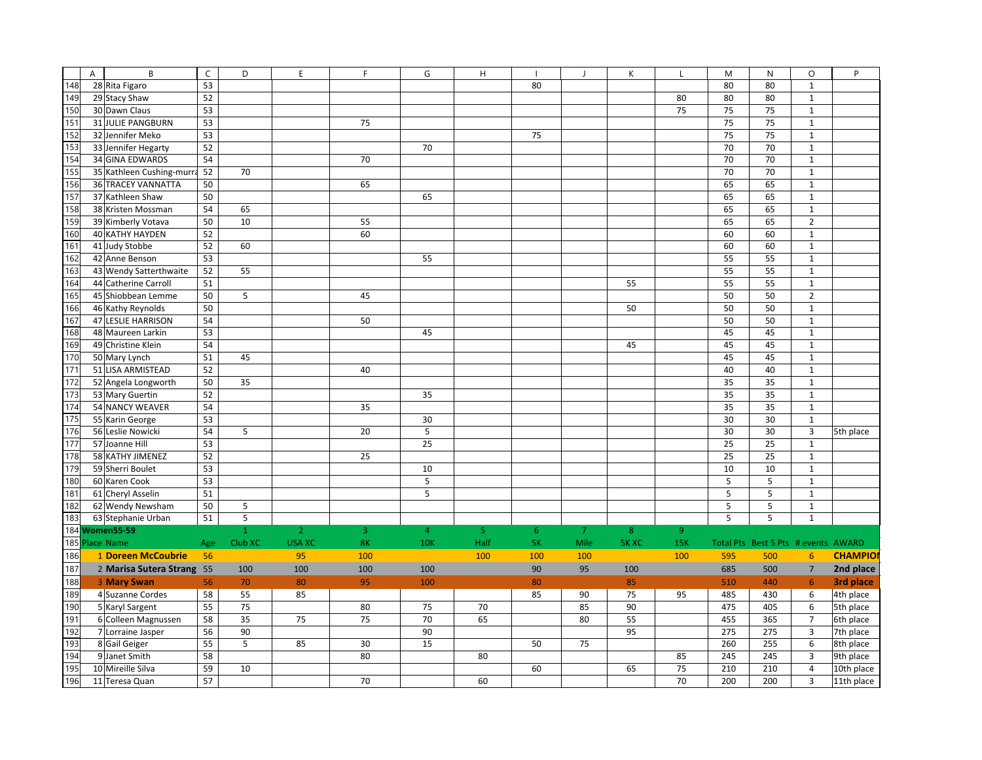|     | $\overline{A}$ | B                         | $\mathsf{C}$ | D                                              | E              | F              | G              | $\overline{H}$ |     |      | К            | L              | M   | $\mathsf{N}$                        | $\circ$                 | P              |
|-----|----------------|---------------------------|--------------|------------------------------------------------|----------------|----------------|----------------|----------------|-----|------|--------------|----------------|-----|-------------------------------------|-------------------------|----------------|
| 148 |                | 28 Rita Figaro            | 53           |                                                |                |                |                |                | 80  |      |              |                | 80  | 80                                  | $\mathbf 1$             |                |
| 149 |                | 29 Stacy Shaw             | 52           |                                                |                |                |                |                |     |      |              | 80             | 80  | 80                                  | $\mathbf{1}$            |                |
| 150 |                | 30 Dawn Claus             | 53           |                                                |                |                |                |                |     |      |              | 75             | 75  | 75                                  | $\mathbf 1$             |                |
| 151 |                | 31 JULIE PANGBURN         | 53           |                                                |                | 75             |                |                |     |      |              |                | 75  | 75                                  | $\mathbf 1$             |                |
| 152 |                | 32 Jennifer Meko          | 53           |                                                |                |                |                |                | 75  |      |              |                | 75  | 75                                  | $\mathbf 1$             |                |
| 153 |                | 33 Jennifer Hegarty       | 52           |                                                |                |                | 70             |                |     |      |              |                | 70  | 70                                  | $\mathbf 1$             |                |
| 154 |                | <b>34 GINA EDWARDS</b>    | 54           |                                                |                | 70             |                |                |     |      |              |                | 70  | 70                                  | $\mathbf 1$             |                |
| 155 |                | 35 Kathleen Cushing-murra | 52           | 70                                             |                |                |                |                |     |      |              |                | 70  | 70                                  | $\mathbf{1}$            |                |
|     |                |                           |              |                                                |                |                |                |                |     |      |              |                |     |                                     |                         |                |
| 156 |                | 36 TRACEY VANNATTA        | 50           |                                                |                | 65             |                |                |     |      |              |                | 65  | 65                                  | $\mathbf 1$             |                |
| 157 |                | 37 Kathleen Shaw          | 50           |                                                |                |                | 65             |                |     |      |              |                | 65  | 65                                  | $\mathbf{1}$            |                |
| 158 |                | 38 Kristen Mossman        | 54           | 65                                             |                |                |                |                |     |      |              |                | 65  | 65                                  | $\mathbf 1$             |                |
| 159 |                | 39 Kimberly Votava        | 50           | 10                                             |                | 55             |                |                |     |      |              |                | 65  | 65                                  | $\overline{2}$          |                |
| 160 |                | 40 KATHY HAYDEN           | 52           |                                                |                | 60             |                |                |     |      |              |                | 60  | 60                                  | $\mathbf{1}$            |                |
| 161 |                | 41 Judy Stobbe            | 52           | 60                                             |                |                |                |                |     |      |              |                | 60  | 60                                  | $\mathbf 1$             |                |
| 162 |                | 42 Anne Benson            | 53           |                                                |                |                | 55             |                |     |      |              |                | 55  | 55                                  | $\mathbf 1$             |                |
| 163 |                | 43 Wendy Satterthwaite    | 52           | 55                                             |                |                |                |                |     |      |              |                | 55  | 55                                  | $\mathbf 1$             |                |
| 164 |                | 44 Catherine Carroll      | 51           |                                                |                |                |                |                |     |      | 55           |                | 55  | 55                                  | $\mathbf 1$             |                |
| 165 |                | 45 Shiobbean Lemme        | 50           | 5                                              |                | 45             |                |                |     |      |              |                | 50  | 50                                  | $\mathbf 2$             |                |
| 166 |                | 46 Kathy Reynolds         | 50           |                                                |                |                |                |                |     |      | 50           |                | 50  | 50                                  | $\mathbf 1$             |                |
| 167 |                | 47 LESLIE HARRISON        | 54           |                                                |                | 50             |                |                |     |      |              |                | 50  | 50                                  | $\mathbf 1$             |                |
| 168 |                | 48 Maureen Larkin         | 53           |                                                |                |                | 45             |                |     |      |              |                | 45  | 45                                  | $\mathbf 1$             |                |
| 169 |                | 49 Christine Klein        | 54           |                                                |                |                |                |                |     |      | 45           |                | 45  | 45                                  | $\mathbf{1}$            |                |
| 170 |                | 50 Mary Lynch             | 51           | 45                                             |                |                |                |                |     |      |              |                | 45  | 45                                  | $\mathbf 1$             |                |
| 171 |                | 51 LISA ARMISTEAD         | 52           |                                                |                | 40             |                |                |     |      |              |                | 40  | 40                                  | $\mathbf{1}$            |                |
| 172 |                | 52 Angela Longworth       | 50           | 35                                             |                |                |                |                |     |      |              |                | 35  | 35                                  | $\mathbf{1}$            |                |
| 173 |                | 53 Mary Guertin           | 52           |                                                |                |                | 35             |                |     |      |              |                | 35  | 35                                  | $\mathbf 1$             |                |
| 174 |                | 54 NANCY WEAVER           | 54           |                                                |                | 35             |                |                |     |      |              |                | 35  | 35                                  | $\mathbf 1$             |                |
| 175 |                | 55 Karin George           | 53           |                                                |                |                | 30             |                |     |      |              |                | 30  | 30                                  | $\mathbf{1}$            |                |
| 176 |                | 56 Leslie Nowicki         | 54           | 5                                              |                | 20             | 5              |                |     |      |              |                | 30  | 30                                  | $\overline{\mathbf{3}}$ | 5th place      |
| 177 |                | 57 Joanne Hill            | 53           |                                                |                |                | 25             |                |     |      |              |                | 25  | 25                                  | $\mathbf{1}$            |                |
| 178 |                | 58 KATHY JIMENEZ          | 52           |                                                |                | 25             |                |                |     |      |              |                | 25  | 25                                  | $\mathbf{1}$            |                |
| 179 |                | 59 Sherri Boulet          | 53           |                                                |                |                | 10             |                |     |      |              |                | 10  | 10                                  | $\mathbf{1}$            |                |
| 180 |                | 60 Karen Cook             | 53           |                                                |                |                | 5              |                |     |      |              |                | 5   | 5                                   | $\mathbf 1$             |                |
| 181 |                | 61 Cheryl Asselin         | 51           |                                                |                |                | 5              |                |     |      |              |                | 5   | 5                                   | $\mathbf 1$             |                |
| 182 |                | 62 Wendy Newsham          | 50           | $\sf 5$                                        |                |                |                |                |     |      |              |                | 5   | 5                                   | $\mathbf 1$             |                |
| 183 |                | 63 Stephanie Urban        | 51           | $\overline{\overline{\overline{\overline{5}}}$ |                |                |                |                |     |      |              |                | 5   | 5                                   | $\mathbf{1}$            |                |
|     |                | 184 Women55-59            |              | $\mathbf{1}$                                   | $\overline{2}$ | $\overline{3}$ | $\overline{4}$ | 5              | 6   | 7    | 8            | $\overline{9}$ |     |                                     |                         |                |
|     |                | 185 Place Name            | Age          | Club XC                                        | <b>USA XC</b>  | 8 <sub>K</sub> | 10K            | Half           | 5K  | Mile | <b>5K XC</b> | 15K            |     | Total Pts Best 5 Pts # events AWARD |                         |                |
| 186 |                | 1 Doreen McCoubrie        | 56           |                                                | 95             | 100            |                | 100            | 100 | 100  |              | 100            | 595 | 500                                 | $6\phantom{1}6$         | <b>CHAMPIO</b> |
| 187 |                | 2 Marisa Sutera Strang 55 |              | 100                                            | 100            | 100            | 100            |                | 90  | 95   | 100          |                | 685 | 500                                 | $\overline{7}$          | 2nd place      |
|     |                |                           |              |                                                |                |                |                |                |     |      |              |                |     |                                     |                         |                |
| 188 |                | 3 Mary Swan               | 56           | 70                                             | 80             | 95             | 100            |                | 80  |      | 85           |                | 510 | 440                                 | 6                       | 3rd place      |
| 189 |                | 4 Suzanne Cordes          | 58           | 55                                             | 85             |                |                |                | 85  | 90   | 75           | 95             | 485 | 430                                 | $\boldsymbol{6}$        | 4th place      |
| 190 |                | 5 Karyl Sargent           | 55           | 75                                             |                | 80             | 75             | 70             |     | 85   | 90           |                | 475 | 405                                 | 6                       | 5th place      |
| 191 |                | 6 Colleen Magnussen       | 58           | 35                                             | 75             | 75             | 70             | 65             |     | 80   | 55           |                | 455 | 365                                 | $\overline{7}$          | 6th place      |
| 192 |                | 7 Lorraine Jasper         | 56           | 90                                             |                |                | 90             |                |     |      | 95           |                | 275 | 275                                 | $\overline{3}$          | 7th place      |
| 193 |                | 8 Gail Geiger             | 55           | 5                                              | 85             | 30             | 15             |                | 50  | 75   |              |                | 260 | 255                                 | $\boldsymbol{6}$        | 8th place      |
| 194 |                | 9 Janet Smith             | 58           |                                                |                | 80             |                | 80             |     |      |              | 85             | 245 | 245                                 | $\overline{3}$          | 9th place      |
| 195 |                | 10 Mireille Silva         | 59           | 10                                             |                |                |                |                | 60  |      | 65           | 75             | 210 | 210                                 | $\overline{4}$          | 10th place     |
| 196 |                | 11 Teresa Quan            | 57           |                                                |                | 70             |                | 60             |     |      |              | 70             | 200 | 200                                 | $\overline{3}$          | 11th place     |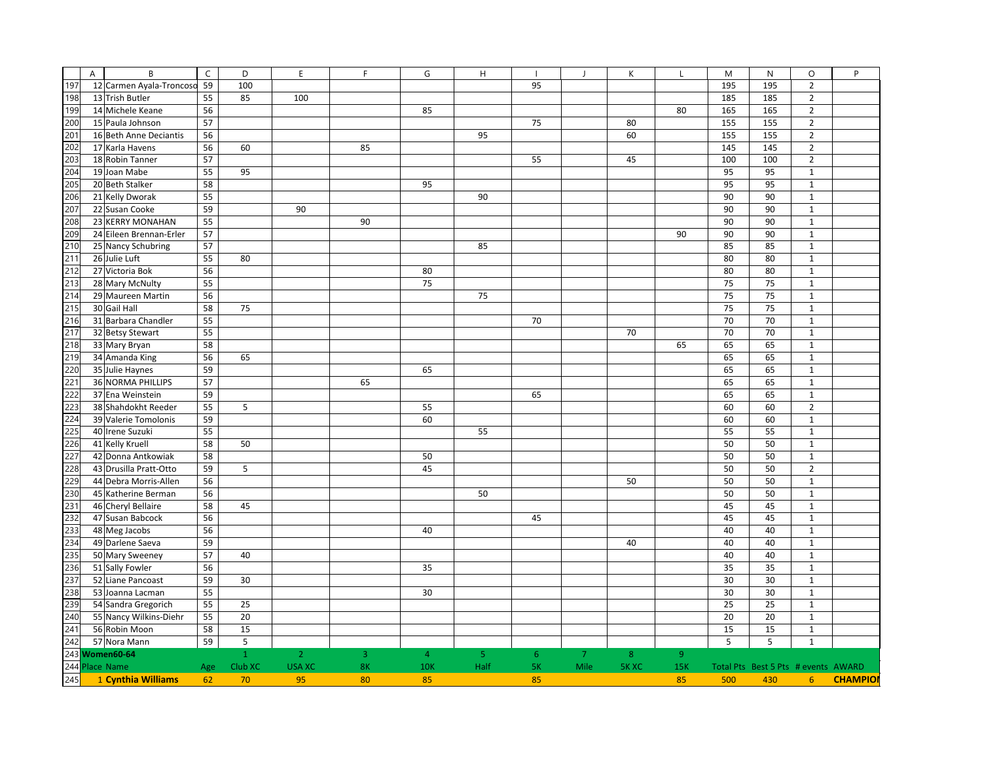|     | $\overline{A}$ | B                        | $\mathsf{C}$ | D            | E              | F  | G              | H    |    |      | K              | L              | M   | $\mathsf{N}$                        | $\circ$        | P               |
|-----|----------------|--------------------------|--------------|--------------|----------------|----|----------------|------|----|------|----------------|----------------|-----|-------------------------------------|----------------|-----------------|
| 197 |                | 12 Carmen Ayala-Troncoso | 59           | 100          |                |    |                |      | 95 |      |                |                | 195 | 195                                 | $\mathbf 2$    |                 |
| 198 |                | 13 Trish Butler          | 55           | 85           | 100            |    |                |      |    |      |                |                | 185 | 185                                 | $\overline{2}$ |                 |
| 199 |                | 14 Michele Keane         | 56           |              |                |    | 85             |      |    |      |                | 80             | 165 | 165                                 | $\mathbf 2$    |                 |
| 200 |                | 15 Paula Johnson         | 57           |              |                |    |                |      | 75 |      | 80             |                | 155 | 155                                 | $\overline{2}$ |                 |
| 201 |                | 16 Beth Anne Deciantis   | 56           |              |                |    |                | 95   |    |      | 60             |                | 155 | 155                                 | $\mathbf 2$    |                 |
| 202 |                | 17 Karla Havens          | 56           | 60           |                | 85 |                |      |    |      |                |                | 145 | 145                                 | $\overline{2}$ |                 |
| 203 |                | 18 Robin Tanner          | 57           |              |                |    |                |      | 55 |      | 45             |                | 100 | 100                                 | $\mathbf 2$    |                 |
| 204 |                | 19 Joan Mabe             | 55           | 95           |                |    |                |      |    |      |                |                | 95  | 95                                  | $\mathbf{1}$   |                 |
| 205 |                | 20 Beth Stalker          | 58           |              |                |    | 95             |      |    |      |                |                | 95  | 95                                  | $\mathbf 1$    |                 |
| 206 |                | 21 Kelly Dworak          | 55           |              |                |    |                | 90   |    |      |                |                | 90  | 90                                  | $\mathbf{1}$   |                 |
| 207 |                | 22 Susan Cooke           | 59           |              | 90             |    |                |      |    |      |                |                | 90  | 90                                  | $\mathbf{1}$   |                 |
| 208 |                | 23 KERRY MONAHAN         | 55           |              |                | 90 |                |      |    |      |                |                | 90  | 90                                  | $\mathbf{1}$   |                 |
| 209 |                | 24 Eileen Brennan-Erler  | 57           |              |                |    |                |      |    |      |                | 90             | 90  | 90                                  | $\mathbf{1}$   |                 |
| 210 |                | 25 Nancy Schubring       | 57           |              |                |    |                | 85   |    |      |                |                | 85  | 85                                  | $\mathbf{1}$   |                 |
| 211 |                | 26 Julie Luft            | 55           | 80           |                |    |                |      |    |      |                |                | 80  | 80                                  | $\mathbf 1$    |                 |
| 212 |                | 27 Victoria Bok          | 56           |              |                |    | 80             |      |    |      |                |                | 80  | 80                                  | $\mathbf{1}$   |                 |
| 213 |                | 28 Mary McNulty          | 55           |              |                |    | 75             |      |    |      |                |                | 75  | 75                                  | $\mathbf{1}$   |                 |
| 214 |                | 29 Maureen Martin        | 56           |              |                |    |                | 75   |    |      |                |                | 75  | 75                                  | $\mathbf{1}$   |                 |
| 215 |                | 30 Gail Hall             | 58           | 75           |                |    |                |      |    |      |                |                | 75  | 75                                  | $\mathbf 1$    |                 |
| 216 |                | 31 Barbara Chandler      | 55           |              |                |    |                |      | 70 |      |                |                | 70  | 70                                  | $\mathbf{1}$   |                 |
| 217 |                | 32 Betsy Stewart         | 55           |              |                |    |                |      |    |      | 70             |                | 70  | 70                                  | $\mathbf 1$    |                 |
| 218 |                | 33 Mary Bryan            | 58           |              |                |    |                |      |    |      |                | 65             | 65  | 65                                  | $\mathbf{1}$   |                 |
| 219 |                | 34 Amanda King           | 56           | 65           |                |    |                |      |    |      |                |                | 65  | 65                                  | $\mathbf{1}$   |                 |
| 220 |                | 35 Julie Haynes          | 59           |              |                |    | 65             |      |    |      |                |                | 65  | 65                                  | $\mathbf 1$    |                 |
| 221 |                | 36 NORMA PHILLIPS        | 57           |              |                | 65 |                |      |    |      |                |                | 65  | 65                                  | $\mathbf 1$    |                 |
| 222 |                | 37 Ena Weinstein         | 59           |              |                |    |                |      | 65 |      |                |                | 65  | 65                                  | $\mathbf{1}$   |                 |
| 223 |                | 38 Shahdokht Reeder      | 55           | 5            |                |    | 55             |      |    |      |                |                | 60  | 60                                  | $\mathbf 2$    |                 |
| 224 |                | 39 Valerie Tomolonis     | 59           |              |                |    | 60             |      |    |      |                |                | 60  | 60                                  | $\mathbf{1}$   |                 |
| 225 |                | 40 Irene Suzuki          | 55           |              |                |    |                | 55   |    |      |                |                | 55  | 55                                  | $\mathbf{1}$   |                 |
| 226 |                | 41 Kelly Kruell          | 58           | 50           |                |    |                |      |    |      |                |                | 50  | 50                                  | $\mathbf{1}$   |                 |
| 227 |                | 42 Donna Antkowiak       | 58           |              |                |    | 50             |      |    |      |                |                | 50  | 50                                  | $\mathbf{1}$   |                 |
| 228 |                | 43 Drusilla Pratt-Otto   | 59           | 5            |                |    | 45             |      |    |      |                |                | 50  | 50                                  | $\overline{2}$ |                 |
| 229 |                | 44 Debra Morris-Allen    | 56           |              |                |    |                |      |    |      | 50             |                | 50  | 50                                  | $\mathbf{1}$   |                 |
| 230 |                | 45 Katherine Berman      | 56           |              |                |    |                | 50   |    |      |                |                | 50  | 50                                  | $\mathbf{1}$   |                 |
| 231 |                | 46 Cheryl Bellaire       | 58           | 45           |                |    |                |      |    |      |                |                | 45  | 45                                  | $\mathbf 1$    |                 |
| 232 |                | 47 Susan Babcock         | 56           |              |                |    |                |      | 45 |      |                |                | 45  | 45                                  | $\mathbf 1$    |                 |
| 233 |                | 48 Meg Jacobs            | 56           |              |                |    | 40             |      |    |      |                |                | 40  | 40                                  | $\mathbf 1$    |                 |
| 234 |                | 49 Darlene Saeva         | 59           |              |                |    |                |      |    |      | 40             |                | 40  | 40                                  | $\mathbf{1}$   |                 |
| 235 |                | 50 Mary Sweeney          | 57           | 40           |                |    |                |      |    |      |                |                | 40  | 40                                  | $\mathbf{1}$   |                 |
| 236 |                | 51 Sally Fowler          | 56           |              |                |    | 35             |      |    |      |                |                | 35  | 35                                  | $\mathbf{1}$   |                 |
| 237 |                | 52 Liane Pancoast        | 59           | 30           |                |    |                |      |    |      |                |                | 30  | 30                                  | $\mathbf{1}$   |                 |
| 238 |                | 53 Joanna Lacman         | 55           |              |                |    | 30             |      |    |      |                |                | 30  | 30                                  | $\mathbf{1}$   |                 |
| 239 |                | 54 Sandra Gregorich      | 55           | 25           |                |    |                |      |    |      |                |                | 25  | 25                                  | $\mathbf{1}$   |                 |
| 240 |                | 55 Nancy Wilkins-Diehr   | 55           | 20           |                |    |                |      |    |      |                |                | 20  | 20                                  | $\mathbf 1$    |                 |
| 241 |                | 56 Robin Moon            | 58           | 15           |                |    |                |      |    |      |                |                | 15  | 15                                  | $\mathbf{1}$   |                 |
| 242 |                | 57 Nora Mann             | 59           | 5            |                |    |                |      |    |      |                |                | 5   | 5                                   | $\mathbf{1}$   |                 |
|     |                | 243 Women60-64           |              | $\mathbf{1}$ | 2 <sup>1</sup> | 3  | $\overline{4}$ | 5    | 6  | 7    | 8 <sup>°</sup> | 9 <sup>°</sup> |     |                                     |                |                 |
|     |                | 244 Place Name           | Age          | Club XC      | <b>USA XC</b>  | 8K | <b>10K</b>     | Half | 5K | Mile | <b>5KXC</b>    | <b>15K</b>     |     | Total Pts Best 5 Pts # events AWARD |                |                 |
| 245 |                | 1 Cynthia Williams       | 62           | 70           | 95             | 80 | 85             |      | 85 |      |                | 85             | 500 | 430                                 | 6 <sup>1</sup> | <b>CHAMPIOI</b> |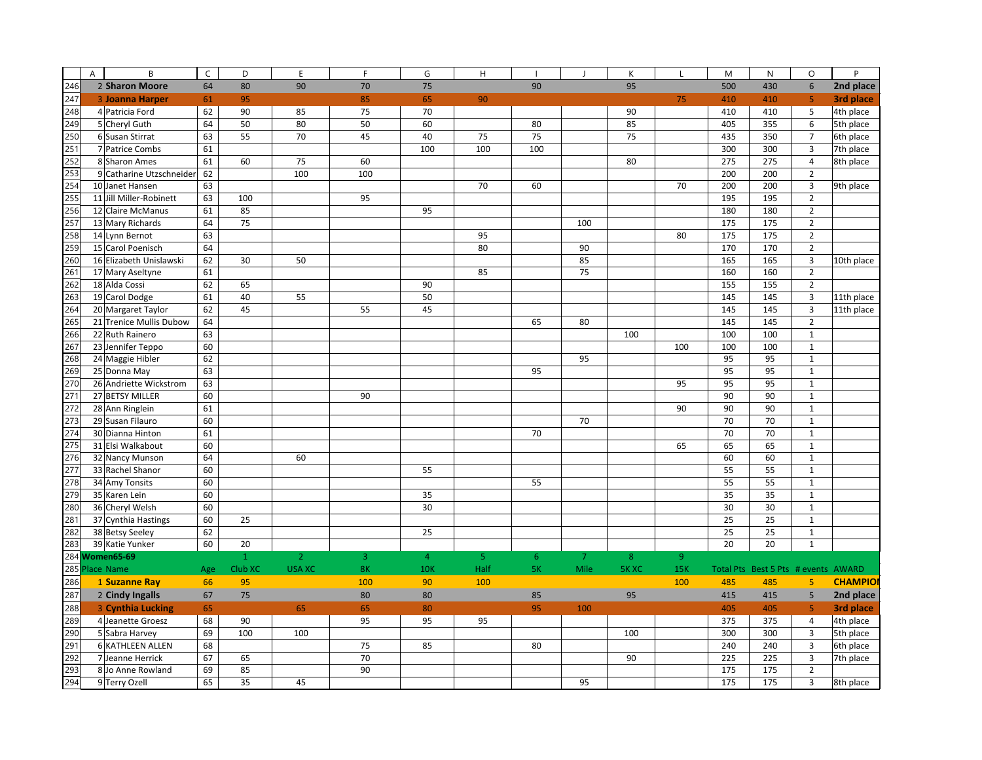|            | A | B                                  | $\mathsf{C}$ | D                       | E                               | F                    | G                            | H                      | $\overline{1}$ | $\overline{1}$ | К                 | $\mathsf{L}$    | M        | N                                   | $\circ$                    | P              |
|------------|---|------------------------------------|--------------|-------------------------|---------------------------------|----------------------|------------------------------|------------------------|----------------|----------------|-------------------|-----------------|----------|-------------------------------------|----------------------------|----------------|
| 246        |   | 2 Sharon Moore                     | 64           | 80                      | 90                              | 70                   | 75                           |                        | 90             |                | 95                |                 | 500      | 430                                 | $6\phantom{1}$             | 2nd place      |
| 247        |   | 3 Joanna Harper                    | 61           | 95                      |                                 | 85                   | 65                           | 90                     |                |                |                   | 75              | 410      | 410                                 | $\overline{5}$             | 3rd place      |
| 248        |   | 4 Patricia Ford                    | 62           | 90                      | 85                              | 75                   | 70                           |                        |                |                | 90                |                 | 410      | 410                                 | 5                          | 4th place      |
| 249        |   | 5 Cheryl Guth                      | 64           | 50                      | 80                              | 50                   | 60                           |                        | 80             |                | 85                |                 | 405      | 355                                 | 6                          | 5th place      |
| 250        |   | 6 Susan Stirrat                    | 63           | 55                      | 70                              | 45                   | 40                           | 75                     | 75             |                | 75                |                 | 435      | 350                                 | $\overline{7}$             | 6th place      |
| 251        |   | 7 Patrice Combs                    | 61           |                         |                                 |                      | 100                          | 100                    | 100            |                |                   |                 | 300      | 300                                 | $\ensuremath{\mathsf{3}}$  | 7th place      |
| 252        |   | 8 Sharon Ames                      | 61           | 60                      | 75                              | 60                   |                              |                        |                |                | 80                |                 | 275      | 275                                 | $\overline{4}$             | 8th place      |
| 253        |   | 9 Catharine Utzschneider           | 62           |                         | 100                             | 100                  |                              |                        |                |                |                   |                 | 200      | 200                                 | $\overline{2}$             |                |
| 254        |   | 10 Janet Hansen                    | 63           |                         |                                 |                      |                              | 70                     | 60             |                |                   | 70              | 200      | 200                                 | $\overline{\mathbf{3}}$    | 9th place      |
| 255        |   | 11 Jill Miller-Robinett            | 63           | 100                     |                                 | 95                   |                              |                        |                |                |                   |                 | 195      | 195                                 | $\overline{2}$             |                |
| 256        |   | 12 Claire McManus                  | 61           | 85                      |                                 |                      | 95                           |                        |                |                |                   |                 | 180      | 180                                 | $\overline{2}$             |                |
| 257        |   | 13 Mary Richards                   | 64           | 75                      |                                 |                      |                              |                        |                | 100            |                   |                 | 175      | 175                                 | $\mathbf 2$                |                |
| 258        |   | 14 Lynn Bernot                     | 63           |                         |                                 |                      |                              | 95                     |                |                |                   | 80              | 175      | 175                                 | $\overline{2}$             |                |
| 259        |   | 15 Carol Poenisch                  | 64           |                         |                                 |                      |                              | 80                     |                | 90             |                   |                 | 170      | 170                                 | $\overline{2}$             |                |
| 260        |   | 16 Elizabeth Unislawski            | 62           | 30                      | 50                              |                      |                              |                        |                | 85             |                   |                 | 165      | 165                                 | $\overline{\mathbf{3}}$    | 10th place     |
| 261        |   | 17 Mary Aseltyne                   | 61           |                         |                                 |                      |                              | 85                     |                | 75             |                   |                 | 160      | 160                                 | $\overline{2}$             |                |
| 262        |   | 18 Alda Cossi                      | 62           | 65                      |                                 |                      | 90                           |                        |                |                |                   |                 | 155      | 155                                 | $\overline{2}$             |                |
| 263        |   | 19 Carol Dodge                     | 61           | 40                      | 55                              |                      | 50                           |                        |                |                |                   |                 | 145      | 145                                 | $\mathsf 3$                | 11th place     |
| 264        |   | 20 Margaret Taylor                 | 62           | 45                      |                                 | 55                   | 45                           |                        |                |                |                   |                 | 145      | 145                                 | $\overline{\mathbf{3}}$    | 11th place     |
| 265        |   | 21 Trenice Mullis Dubow            | 64           |                         |                                 |                      |                              |                        | 65             | 80             |                   |                 | 145      | 145                                 | $\overline{2}$             |                |
| 266        |   | 22 Ruth Rainero                    | 63           |                         |                                 |                      |                              |                        |                |                | 100               |                 | 100      | 100                                 | $\mathbf 1$                |                |
| 267        |   | 23 Jennifer Teppo                  | 60           |                         |                                 |                      |                              |                        |                |                |                   | 100             | 100      | 100                                 | $\mathbf{1}$               |                |
| 268        |   | 24 Maggie Hibler                   | 62           |                         |                                 |                      |                              |                        |                | 95             |                   |                 | 95       | 95                                  | $\mathbf{1}$               |                |
| 269        |   | 25 Donna May                       | 63           |                         |                                 |                      |                              |                        | 95             |                |                   |                 | 95       | 95                                  | $\mathbf{1}$               |                |
| 270        |   | 26 Andriette Wickstrom             | 63           |                         |                                 |                      |                              |                        |                |                |                   | 95              | 95       | 95                                  | $\mathbf{1}$               |                |
| 271        |   | 27 BETSY MILLER                    | 60           |                         |                                 | 90                   |                              |                        |                |                |                   |                 | 90       | 90                                  | $\mathbf 1$                |                |
| 272        |   | 28 Ann Ringlein                    | 61           |                         |                                 |                      |                              |                        |                |                |                   | 90              | 90       | 90                                  | $\mathbf 1$                |                |
| 273        |   | 29 Susan Filauro                   | 60           |                         |                                 |                      |                              |                        |                | 70             |                   |                 | 70       | 70                                  | $\mathbf 1$                |                |
| 274        |   | 30 Dianna Hinton                   | 61           |                         |                                 |                      |                              |                        | 70             |                |                   |                 | 70       | 70                                  | $\mathbf 1$                |                |
| 275        |   | 31 Elsi Walkabout                  | 60           |                         |                                 |                      |                              |                        |                |                |                   | 65              | 65       | 65                                  | $\mathbf 1$                |                |
| 276        |   | 32 Nancy Munson                    | 64           |                         | 60                              |                      |                              |                        |                |                |                   |                 | 60       | 60                                  | $\mathbf 1$                |                |
| 277        |   | 33 Rachel Shanor                   | 60           |                         |                                 |                      | 55                           |                        |                |                |                   |                 | 55       | 55                                  | $\mathbf 1$                |                |
| 278        |   | 34 Amy Tonsits                     | 60           |                         |                                 |                      |                              |                        | 55             |                |                   |                 | 55       | 55                                  | $\mathbf{1}$               |                |
| 279        |   | 35 Karen Lein                      | 60           |                         |                                 |                      | 35                           |                        |                |                |                   |                 | 35       | 35                                  | $\mathbf 1$                |                |
| 280        |   | 36 Cheryl Welsh                    | 60           |                         |                                 |                      | 30                           |                        |                |                |                   |                 | 30       | 30                                  | $\mathbf 1$                |                |
| 281<br>282 |   | 37 Cynthia Hastings                | 60<br>62     | 25                      |                                 |                      |                              |                        |                |                |                   |                 | 25<br>25 | 25<br>25                            | $\mathbf 1$<br>$\mathbf 1$ |                |
| 283        |   | 38 Betsy Seeley<br>39 Katie Yunker | 60           | 20                      |                                 |                      | 25                           |                        |                |                |                   |                 | 20       | 20                                  | $\mathbf{1}$               |                |
|            |   | 284 Women65-69                     |              |                         |                                 |                      |                              |                        |                |                |                   |                 |          |                                     |                            |                |
|            |   | 285 Place Name                     |              | $\mathbf{1}$<br>Club XC | $\overline{2}$<br><b>USA XC</b> | $\overline{3}$<br>8K | $\overline{4}$<br><b>10K</b> | 5 <sub>1</sub><br>Half | 6<br>5K        | 7<br>Mile      | 8<br><b>5K XC</b> | 9<br><b>15K</b> |          |                                     |                            |                |
|            |   |                                    | Age          |                         |                                 |                      |                              |                        |                |                |                   |                 |          | Total Pts Best 5 Pts # events AWARD |                            | <b>CHAMPIO</b> |
| 286        |   | 1 Suzanne Ray                      | 66           | 95                      |                                 | 100                  | 90                           | 100                    |                |                |                   | 100             | 485      | 485                                 | 5                          |                |
| 287        |   | 2 Cindy Ingalls                    | 67           | 75                      |                                 | 80                   | 80                           |                        | 85             |                | 95                |                 | 415      | 415                                 | $\overline{5}$             | 2nd place      |
| 288        |   | 3 Cynthia Lucking                  | 65           |                         | 65                              | 65                   | 80                           |                        | 95             | 100            |                   |                 | 405      | 405                                 | $\overline{\mathbf{5}}$    | 3rd place      |
| 289        |   | 4 Jeanette Groesz                  | 68           | 90                      |                                 | 95                   | 95                           | 95                     |                |                |                   |                 | 375      | 375                                 | $\overline{4}$             | 4th place      |
| 290        |   | 5 Sabra Harvey                     | 69           | 100                     | 100                             |                      |                              |                        |                |                | 100               |                 | 300      | 300                                 | $\overline{\mathbf{3}}$    | 5th place      |
| 291        |   | 6 KATHLEEN ALLEN                   | 68           |                         |                                 | 75                   | 85                           |                        | 80             |                |                   |                 | 240      | 240                                 | 3                          | 6th place      |
| 292        |   | 7 Jeanne Herrick                   | 67           | 65                      |                                 | 70                   |                              |                        |                |                | 90                |                 | 225      | 225                                 | 3                          | 7th place      |
| 293        |   | 8 Jo Anne Rowland                  | 69           | 85                      |                                 | 90                   |                              |                        |                |                |                   |                 | 175      | 175                                 | $\overline{2}$             |                |
| 294        |   | 9 Terry Ozell                      | 65           | 35                      | 45                              |                      |                              |                        |                | 95             |                   |                 | 175      | 175                                 | 3                          | 8th place      |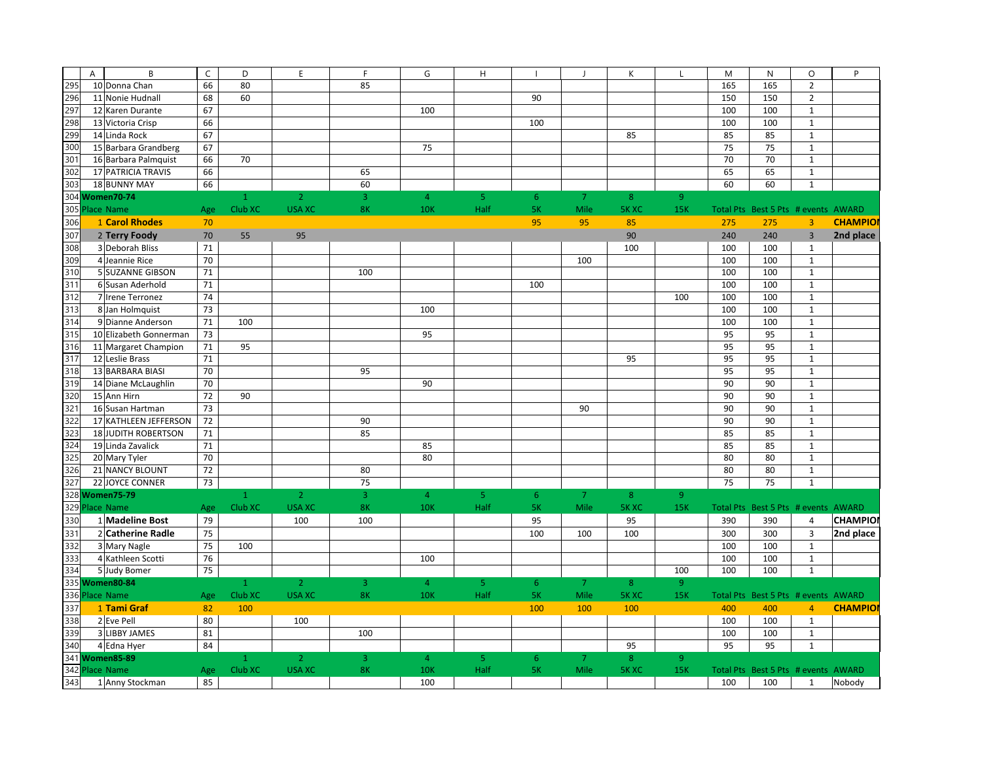|     | B<br>A                 | $\mathsf{C}$ | D            | E              | F              | G              | H              |             |                | К              | L              | M   | N                                   | $\circ$                 | P              |
|-----|------------------------|--------------|--------------|----------------|----------------|----------------|----------------|-------------|----------------|----------------|----------------|-----|-------------------------------------|-------------------------|----------------|
| 295 | 10 Donna Chan          | 66           | 80           |                | 85             |                |                |             |                |                |                | 165 | 165                                 | $\overline{2}$          |                |
| 296 | 11 Nonie Hudnall       | 68           | 60           |                |                |                |                | 90          |                |                |                | 150 | 150                                 | $\overline{2}$          |                |
| 297 | 12 Karen Durante       | 67           |              |                |                | 100            |                |             |                |                |                | 100 | 100                                 | $\mathbf{1}$            |                |
| 298 | 13 Victoria Crisp      | 66           |              |                |                |                |                | 100         |                |                |                | 100 | 100                                 | $\mathbf 1$             |                |
| 299 | 14 Linda Rock          | 67           |              |                |                |                |                |             |                | 85             |                | 85  | 85                                  | $\mathbf 1$             |                |
| 300 | 15 Barbara Grandberg   | 67           |              |                |                | 75             |                |             |                |                |                | 75  | 75                                  | $\mathbf 1$             |                |
| 301 | 16 Barbara Palmquist   | 66           | 70           |                |                |                |                |             |                |                |                | 70  | 70                                  | $\mathbf{1}$            |                |
| 302 | 17 PATRICIA TRAVIS     | 66           |              |                | 65             |                |                |             |                |                |                | 65  | 65                                  | $\mathbf 1$             |                |
| 303 | 18 BUNNY MAY           | 66           |              |                | 60             |                |                |             |                |                |                | 60  | 60                                  | $\mathbf{1}$            |                |
|     | 304 Women70-74         |              | $\mathbf{1}$ | $\overline{2}$ | $\overline{3}$ | $\overline{4}$ | 5 <sub>1</sub> | $6^{\circ}$ | $\overline{7}$ | 8 <sup>°</sup> | 9              |     |                                     |                         |                |
| 305 | <b>Place Name</b>      | Age          | Club XC      | <b>USA XC</b>  | 8K             | <b>10K</b>     | Half           | <b>5K</b>   | Mile           | <b>5K XC</b>   | <b>15K</b>     |     | Total Pts Best 5 Pts # events AWARD |                         |                |
| 306 | 1 Carol Rhodes         | 70           |              |                |                |                |                | 95          | 95             | 85             |                | 275 | 275                                 | $\overline{3}$          | <b>CHAMPIO</b> |
| 307 | 2 Terry Foody          | 70           | 55           | 95             |                |                |                |             |                | 90             |                | 240 | 240                                 | $\overline{3}$          | 2nd place      |
| 308 | 3 Deborah Bliss        | 71           |              |                |                |                |                |             |                | 100            |                | 100 | 100                                 | $\mathbf{1}$            |                |
| 309 | 4 Jeannie Rice         | 70           |              |                |                |                |                |             | 100            |                |                | 100 | 100                                 | $\mathbf 1$             |                |
| 310 | 5 SUZANNE GIBSON       | 71           |              |                | 100            |                |                |             |                |                |                | 100 | 100                                 | $\mathbf 1$             |                |
| 311 | 6 Susan Aderhold       | 71           |              |                |                |                |                | 100         |                |                |                | 100 | 100                                 | $\mathbf 1$             |                |
| 312 | 7 Irene Terronez       | 74           |              |                |                |                |                |             |                |                | 100            | 100 | 100                                 | $\mathbf{1}$            |                |
| 313 | 8 Jan Holmquist        | 73           |              |                |                | 100            |                |             |                |                |                | 100 | 100                                 | $\mathbf{1}$            |                |
| 314 | 9 Dianne Anderson      | 71           | 100          |                |                |                |                |             |                |                |                | 100 | 100                                 | $\mathbf 1$             |                |
| 315 | 10 Elizabeth Gonnerman | 73           |              |                |                | 95             |                |             |                |                |                | 95  | 95                                  | $\mathbf 1$             |                |
| 316 | 11 Margaret Champion   | 71           | 95           |                |                |                |                |             |                |                |                | 95  | 95                                  | $\mathbf{1}$            |                |
| 317 | 12 Leslie Brass        | 71           |              |                |                |                |                |             |                | 95             |                | 95  | 95                                  | $\mathbf{1}$            |                |
| 318 | 13 BARBARA BIASI       | 70           |              |                | 95             |                |                |             |                |                |                | 95  | 95                                  | $\mathbf 1$             |                |
| 319 | 14 Diane McLaughlin    | 70           |              |                |                | 90             |                |             |                |                |                | 90  | 90                                  | $\mathbf{1}$            |                |
| 320 | 15 Ann Hirn            | 72           | 90           |                |                |                |                |             |                |                |                | 90  | 90                                  | $\mathbf 1$             |                |
| 321 | 16 Susan Hartman       | 73           |              |                |                |                |                |             | 90             |                |                | 90  | 90                                  | $\mathbf{1}$            |                |
| 322 | 17 KATHLEEN JEFFERSON  | 72           |              |                | 90             |                |                |             |                |                |                | 90  | 90                                  | $\mathbf{1}$            |                |
| 323 | 18 JUDITH ROBERTSON    | 71           |              |                | 85             |                |                |             |                |                |                | 85  | 85                                  | $\mathbf{1}$            |                |
| 324 | 19 Linda Zavalick      | 71           |              |                |                | 85             |                |             |                |                |                | 85  | 85                                  | $\mathbf{1}$            |                |
| 325 | 20 Mary Tyler          | 70           |              |                |                | 80             |                |             |                |                |                | 80  | 80                                  | $\mathbf{1}$            |                |
| 326 | 21 NANCY BLOUNT        | 72           |              |                | 80             |                |                |             |                |                |                | 80  | 80                                  | $\mathbf{1}$            |                |
| 327 | 22 JOYCE CONNER        | 73           |              |                | 75             |                |                |             |                |                |                | 75  | 75                                  | $\mathbf{1}$            |                |
|     | 328 Women75-79         |              | $\mathbf{1}$ | $\overline{2}$ | $\overline{3}$ | $\overline{4}$ | 5 <sub>1</sub> | 6           | 7              | 8              | $\overline{9}$ |     |                                     |                         |                |
|     | 329 Place Name         | Age          | Club XC      | <b>USA XC</b>  | 8K             | <b>10K</b>     | Half           | <b>5K</b>   | Mile           | <b>5KXC</b>    | <b>15K</b>     |     | Total Pts Best 5 Pts # events AWARD |                         |                |
| 330 | 1 Madeline Bost        | 79           |              | 100            | 100            |                |                | 95          |                | 95             |                | 390 | 390                                 | 4                       | <b>CHAMPIO</b> |
| 331 | 2 Catherine Radle      | 75           |              |                |                |                |                | 100         | 100            | 100            |                | 300 | 300                                 | $\overline{\mathbf{3}}$ | 2nd place      |
| 332 | 3 Mary Nagle           | 75           | 100          |                |                |                |                |             |                |                |                | 100 | 100                                 | $\mathbf{1}$            |                |
| 333 | 4 Kathleen Scotti      | 76           |              |                |                | 100            |                |             |                |                |                | 100 | 100                                 | $\mathbf{1}$            |                |
| 334 | 5 Judy Bomer           | 75           |              |                |                |                |                |             |                |                | 100            | 100 | 100                                 | $\mathbf{1}$            |                |
|     | 335 Women80-84         |              | $\mathbf{1}$ | $\overline{2}$ | 3              | $\overline{4}$ | 5              | 6           | $\overline{7}$ | 8              | $\overline{9}$ |     |                                     |                         |                |
|     | 336 Place Name         | Age          | Club XC      | <b>USA XC</b>  | <b>8K</b>      | <b>10K</b>     | Half           | <b>5K</b>   | Mile           | <b>5KXC</b>    | <b>15K</b>     |     | Total Pts Best 5 Pts # events AWARD |                         |                |
| 337 | 1 Tami Graf            | 82           | 100          |                |                |                |                | 100         | 100            | 100            |                | 400 | 400                                 | $\overline{4}$          | <b>CHAMPIO</b> |
| 338 | 2 Eve Pell             | 80           |              | 100            |                |                |                |             |                |                |                | 100 | 100                                 | $\mathbf{1}$            |                |
| 339 | <b>3 LIBBY JAMES</b>   | 81           |              |                | 100            |                |                |             |                |                |                | 100 | 100                                 | $\mathbf 1$             |                |
| 340 | 4 Edna Hyer            | 84           |              |                |                |                |                |             |                | 95             |                | 95  | 95                                  | $\mathbf{1}$            |                |
|     | 341 Women85-89         |              | $\mathbf{1}$ | $\overline{2}$ | 3              | $\overline{4}$ | -5             | 6           | <sup>7</sup>   | 8              | $\overline{9}$ |     |                                     |                         |                |
|     | 342 Place Name         | Age          | Club XC      | <b>USA XC</b>  | 8K             | <b>10K</b>     | Half           | <b>5K</b>   | Mile           | <b>5K XC</b>   | <b>15K</b>     |     | Total Pts Best 5 Pts # events AWARD |                         |                |
| 343 | 1 Anny Stockman        | 85           |              |                |                | 100            |                |             |                |                |                | 100 | 100                                 | $\mathbf{1}$            | Nobody         |